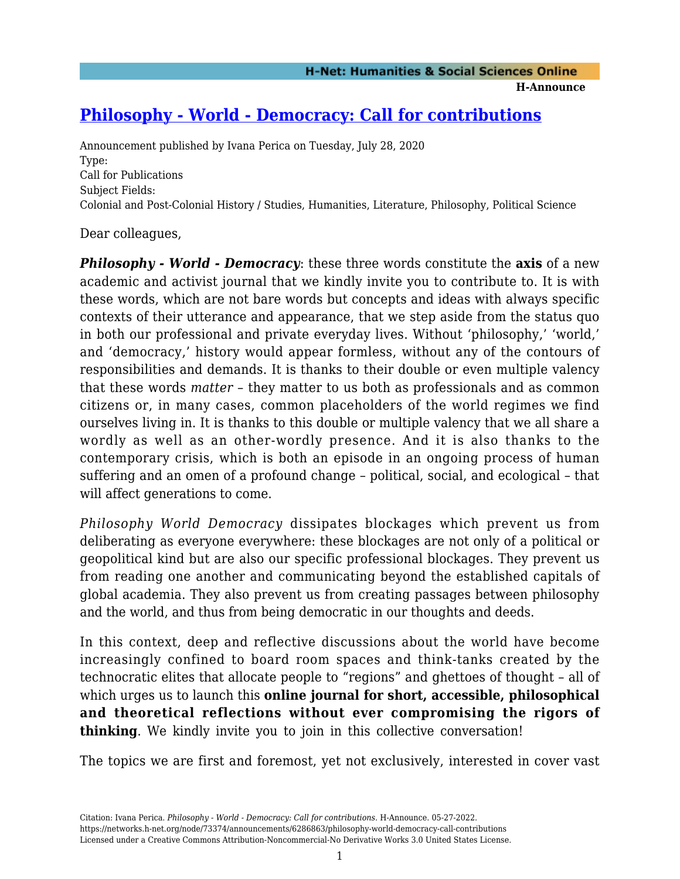## **[Philosophy - World - Democracy: Call for contributions](https://networks.h-net.org/node/73374/announcements/6286863/philosophy-world-democracy-call-contributions)**

Announcement published by Ivana Perica on Tuesday, July 28, 2020 Type: Call for Publications Subject Fields: Colonial and Post-Colonial History / Studies, Humanities, Literature, Philosophy, Political Science

Dear colleagues,

*Philosophy - World - Democracy*: these three words constitute the **axis** of a new academic and activist journal that we kindly invite you to contribute to. It is with these words, which are not bare words but concepts and ideas with always specific contexts of their utterance and appearance, that we step aside from the status quo in both our professional and private everyday lives. Without 'philosophy,' 'world,' and 'democracy,' history would appear formless, without any of the contours of responsibilities and demands. It is thanks to their double or even multiple valency that these words *matter* – they matter to us both as professionals and as common citizens or, in many cases, common placeholders of the world regimes we find ourselves living in. It is thanks to this double or multiple valency that we all share a wordly as well as an other-wordly presence. And it is also thanks to the contemporary crisis, which is both an episode in an ongoing process of human suffering and an omen of a profound change – political, social, and ecological – that will affect generations to come.

*Philosophy World Democracy* dissipates blockages which prevent us from deliberating as everyone everywhere: these blockages are not only of a political or geopolitical kind but are also our specific professional blockages. They prevent us from reading one another and communicating beyond the established capitals of global academia. They also prevent us from creating passages between philosophy and the world, and thus from being democratic in our thoughts and deeds.

In this context, deep and reflective discussions about the world have become increasingly confined to board room spaces and think-tanks created by the technocratic elites that allocate people to "regions" and ghettoes of thought – all of which urges us to launch this **online journal for short, accessible, philosophical and theoretical reflections without ever compromising the rigors of thinking**. We kindly invite you to join in this collective conversation!

The topics we are first and foremost, yet not exclusively, interested in cover vast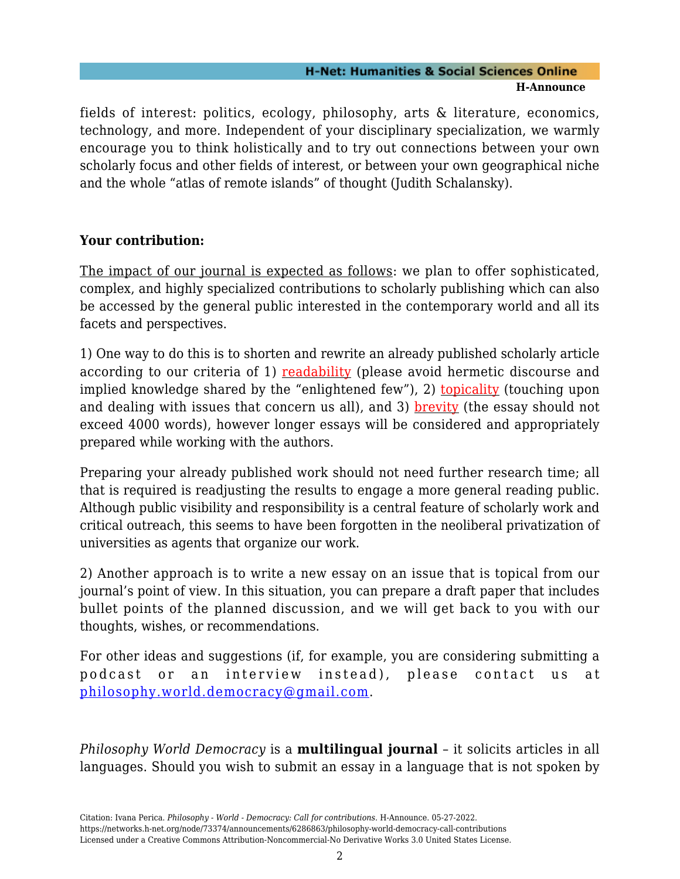## **H-Net: Humanities & Social Sciences Online H-Announce**

fields of interest: politics, ecology, philosophy, arts & literature, economics, technology, and more. Independent of your disciplinary specialization, we warmly encourage you to think holistically and to try out connections between your own scholarly focus and other fields of interest, or between your own geographical niche and the whole "atlas of remote islands" of thought (Judith Schalansky).

## **Your contribution:**

The impact of our journal is expected as follows: we plan to offer sophisticated, complex, and highly specialized contributions to scholarly publishing which can also be accessed by the general public interested in the contemporary world and all its facets and perspectives.

1) One way to do this is to shorten and rewrite an already published scholarly article according to our criteria of 1) readability (please avoid hermetic discourse and implied knowledge shared by the "enlightened few"), 2) **topicality** (touching upon and dealing with issues that concern us all), and 3) **brevity** (the essay should not exceed 4000 words), however longer essays will be considered and appropriately prepared while working with the authors.

Preparing your already published work should not need further research time; all that is required is readjusting the results to engage a more general reading public. Although public visibility and responsibility is a central feature of scholarly work and critical outreach, this seems to have been forgotten in the neoliberal privatization of universities as agents that organize our work.

2) Another approach is to write a new essay on an issue that is topical from our journal's point of view. In this situation, you can prepare a draft paper that includes bullet points of the planned discussion, and we will get back to you with our thoughts, wishes, or recommendations.

For other ideas and suggestions (if, for example, you are considering submitting a podcast or an interview instead), please contact us at [philosophy.world.democracy@gmail.com.](mailto:philosophy.world.democracy@gmail.com)

*Philosophy World Democracy* is a **multilingual journal** – it solicits articles in all languages. Should you wish to submit an essay in a language that is not spoken by